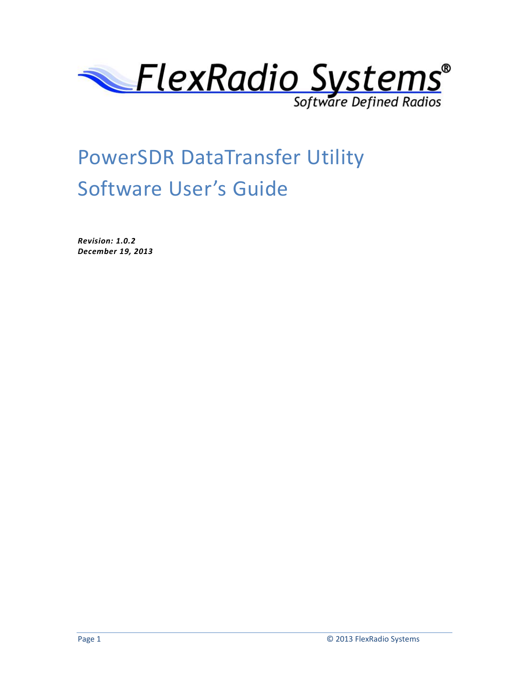

# PowerSDR DataTransfer Utility Software User's Guide

*Revision: 1.0.2 December 19, 2013*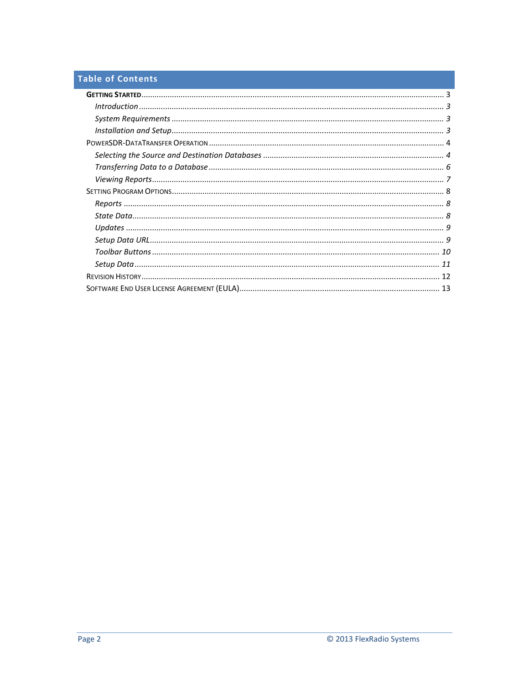# **Table of Contents**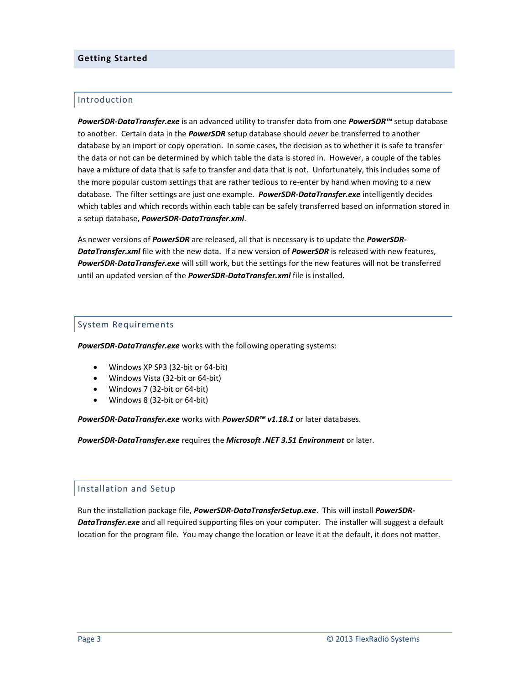# <span id="page-2-0"></span>**Getting Started**

# <span id="page-2-1"></span>Introduction

*PowerSDR-DataTransfer.exe* is an advanced utility to transfer data from one *PowerSDR™* setup database to another. Certain data in the *PowerSDR* setup database should *never* be transferred to another database by an import or copy operation. In some cases, the decision as to whether it is safe to transfer the data or not can be determined by which table the data is stored in. However, a couple of the tables have a mixture of data that is safe to transfer and data that is not. Unfortunately, this includes some of the more popular custom settings that are rather tedious to re-enter by hand when moving to a new database. The filter settings are just one example. *PowerSDR-DataTransfer.exe* intelligently decides which tables and which records within each table can be safely transferred based on information stored in a setup database, *PowerSDR-DataTransfer.xml*.

As newer versions of *PowerSDR* are released, all that is necessary is to update the *PowerSDR-DataTransfer.xml* file with the new data. If a new version of *PowerSDR* is released with new features, *PowerSDR-DataTransfer.exe* will still work, but the settings for the new features will not be transferred until an updated version of the *PowerSDR-DataTransfer.xml* file is installed.

# <span id="page-2-2"></span>System Requirements

*PowerSDR-DataTransfer.exe* works with the following operating systems:

- Windows XP SP3 (32-bit or 64-bit)
- Windows Vista (32-bit or 64-bit)
- Windows 7 (32-bit or 64-bit)
- Windows 8 (32-bit or 64-bit)

*PowerSDR-DataTransfer.exe* works with *PowerSDR™ v1.18.1* or later databases.

*PowerSDR-DataTransfer.exe* requires the *Microsoft .NET 3.51 Environment* or later.

### <span id="page-2-3"></span>Installation and Setup

Run the installation package file, *PowerSDR-DataTransferSetup.exe*. This will install *PowerSDR-DataTransfer.exe* and all required supporting files on your computer. The installer will suggest a default location for the program file. You may change the location or leave it at the default, it does not matter.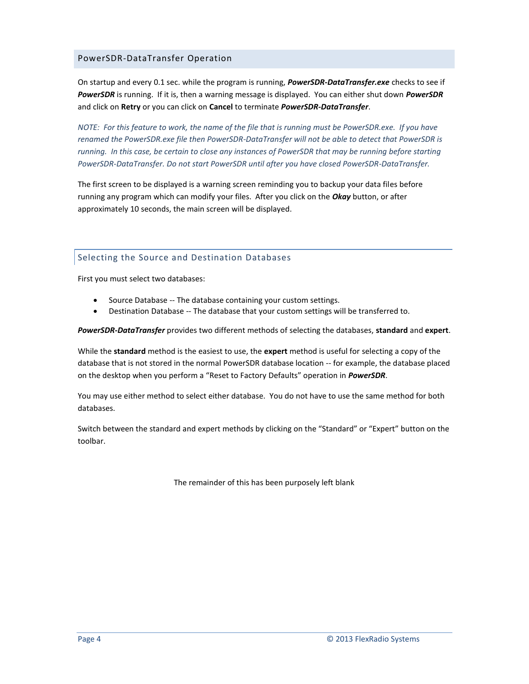# <span id="page-3-0"></span>PowerSDR-DataTransfer Operation

On startup and every 0.1 sec. while the program is running, *PowerSDR-DataTransfer.exe* checks to see if *PowerSDR* is running. If it is, then a warning message is displayed. You can either shut down *PowerSDR* and click on **Retry** or you can click on **Cancel** to terminate *PowerSDR-DataTransfer*.

*NOTE: For this feature to work, the name of the file that is running must be PowerSDR.exe. If you have renamed the PowerSDR.exe file then PowerSDR-DataTransfer will not be able to detect that PowerSDR is running. In this case, be certain to close any instances of PowerSDR that may be running before starting PowerSDR-DataTransfer. Do not start PowerSDR until after you have closed PowerSDR-DataTransfer.*

The first screen to be displayed is a warning screen reminding you to backup your data files before running any program which can modify your files. After you click on the *Okay* button, or after approximately 10 seconds, the main screen will be displayed.

# <span id="page-3-1"></span>Selecting the Source and Destination Databases

First you must select two databases:

- Source Database -- The database containing your custom settings.
- Destination Database -- The database that your custom settings will be transferred to.

*PowerSDR-DataTransfer* provides two different methods of selecting the databases, **standard** and **expert**.

While the **standard** method is the easiest to use, the **expert** method is useful for selecting a copy of the database that is not stored in the normal PowerSDR database location -- for example, the database placed on the desktop when you perform a "Reset to Factory Defaults" operation in *PowerSDR*.

You may use either method to select either database. You do not have to use the same method for both databases.

Switch between the standard and expert methods by clicking on the "Standard" or "Expert" button on the toolbar.

The remainder of this has been purposely left blank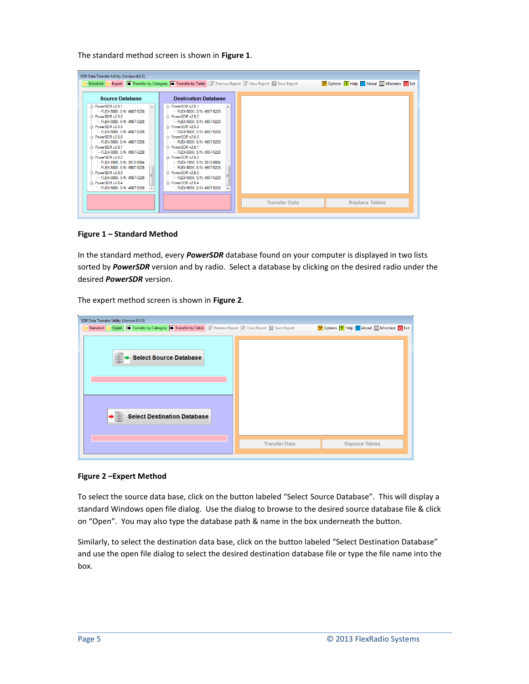The standard method screen is shown in **Figure 1**.

| <b>Source Database</b><br>in PowerSDR v2.5.1<br>- FLEX-5000 S/N: 4907-5228<br>□ PowerSDR v2.5.2<br>- FLEX-5000, S/N: 4907-5228<br>in PowerSDR v2.5.3<br>FLEX-5000, S/N: 4907-5228<br>PowerSDR v2.6.0<br>- FLEX-5000 S/N: 4907-5228<br>PowerSDR v2.6.1<br>- FLEX-5000, S/N: 4907-5228<br>□ PowerSDR v2.6.2<br>-FLEX-1500, S/N: 2010-0004<br>- FLEX-5000 S/N: 4907-5228<br>PowerSDR v2.6.3<br>- FLEX-5000, S/N: 4907-5228 | <b>Destination Database</b><br>in PowerSDR v2.5.1<br>A<br>- FLEX-5000, S/N: 4907-5228<br>m-PowerSDR v2.5.2<br>-FLEX-5000, S/N: 4907-5228<br>in PowerSDR v2.5.3<br>- FLEX-5000, S/N: 4907-5228<br>m-PowerSDR v2.6.0<br>- FLEX-5000 S/N: 4907-5228<br>i PowerSDR v2.6.1<br>- FLEX-5000, S/N: 4907-5228<br>PowerSDR v2.6.2<br>-FLEX-1500, S/N: 2010-0004<br>- FLEX-5000, S/N: 4907-5228<br>PowerSDR v2.6.3<br>Ĥ.<br>- FLEX-5000, S/N: 4907-5228 | Expert   Transfer by Category   Transfer by Table   8 Preview Report   Tiew Report   Save Report | X Options ? Help   About   Minimize (J) Exit |
|-------------------------------------------------------------------------------------------------------------------------------------------------------------------------------------------------------------------------------------------------------------------------------------------------------------------------------------------------------------------------------------------------------------------------|----------------------------------------------------------------------------------------------------------------------------------------------------------------------------------------------------------------------------------------------------------------------------------------------------------------------------------------------------------------------------------------------------------------------------------------------|--------------------------------------------------------------------------------------------------|----------------------------------------------|
| in PowerSDR v2.6.4<br>-FLEX-5000, S/N: 4907-5228                                                                                                                                                                                                                                                                                                                                                                        | i PowerSDR v2.6.4<br>- FLEX-5000, S/N: 4907-5228                                                                                                                                                                                                                                                                                                                                                                                             | <b>Transfer Data</b>                                                                             | <b>Replace Tables</b>                        |

**Figure 1 – Standard Method**

In the standard method, every *PowerSDR* database found on your computer is displayed in two lists sorted by *PowerSDR* version and by radio. Select a database by clicking on the desired radio under the desired *PowerSDR* version.

The expert method screen is shown in **Figure 2**.

| SDR Data Transfer Utility (Version 6.0.0)                                                                                             |                      |                                            |
|---------------------------------------------------------------------------------------------------------------------------------------|----------------------|--------------------------------------------|
| Standard <b>B</b> Expert <b>The Transfer by Category To Transfer by Table</b> The Preview Report To View Report <b>To Save Report</b> |                      | X Options 7 Help   About   Minimize   Exit |
| <b>Select Source Database</b><br><b>Select Destination Database</b>                                                                   |                      |                                            |
|                                                                                                                                       | <b>Transfer Data</b> | <b>Replace Tables</b>                      |
|                                                                                                                                       |                      |                                            |

### **Figure 2 –Expert Method**

To select the source data base, click on the button labeled "Select Source Database". This will display a standard Windows open file dialog. Use the dialog to browse to the desired source database file & click on "Open". You may also type the database path & name in the box underneath the button.

Similarly, to select the destination data base, click on the button labeled "Select Destination Database" and use the open file dialog to select the desired destination database file or type the file name into the box.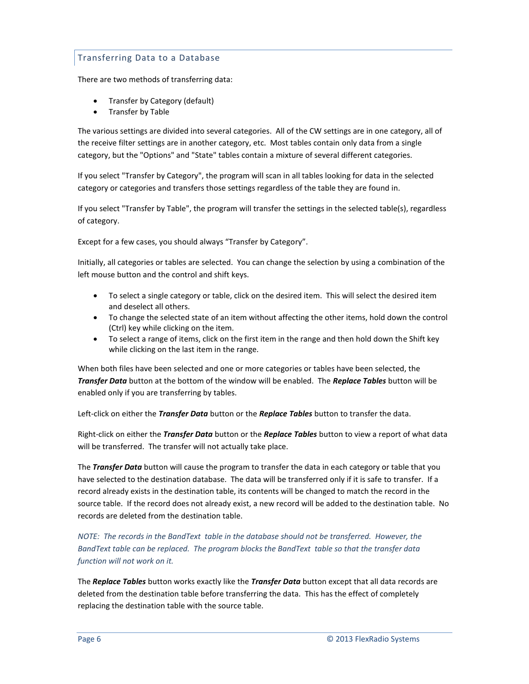# <span id="page-5-0"></span>Transferring Data to a Database

There are two methods of transferring data:

- Transfer by Category (default)
- Transfer by Table

The various settings are divided into several categories. All of the CW settings are in one category, all of the receive filter settings are in another category, etc. Most tables contain only data from a single category, but the "Options" and "State" tables contain a mixture of several different categories.

If you select "Transfer by Category", the program will scan in all tables looking for data in the selected category or categories and transfers those settings regardless of the table they are found in.

If you select "Transfer by Table", the program will transfer the settings in the selected table(s), regardless of category.

Except for a few cases, you should always "Transfer by Category".

Initially, all categories or tables are selected. You can change the selection by using a combination of the left mouse button and the control and shift keys.

- To select a single category or table, click on the desired item. This will select the desired item and deselect all others.
- To change the selected state of an item without affecting the other items, hold down the control (Ctrl) key while clicking on the item.
- To select a range of items, click on the first item in the range and then hold down the Shift key while clicking on the last item in the range.

When both files have been selected and one or more categories or tables have been selected, the *Transfer Data* button at the bottom of the window will be enabled. The *Replace Tables* button will be enabled only if you are transferring by tables.

Left-click on either the *Transfer Data* button or the *Replace Tables* button to transfer the data.

Right-click on either the *Transfer Data* button or the *Replace Tables* button to view a report of what data will be transferred. The transfer will not actually take place.

The *Transfer Data* button will cause the program to transfer the data in each category or table that you have selected to the destination database. The data will be transferred only if it is safe to transfer. If a record already exists in the destination table, its contents will be changed to match the record in the source table. If the record does not already exist, a new record will be added to the destination table. No records are deleted from the destination table.

*NOTE: The records in the BandText table in the database should not be transferred. However, the BandText table can be replaced. The program blocks the BandText table so that the transfer data function will not work on it.* 

The *Replace Tables* button works exactly like the *Transfer Data* button except that all data records are deleted from the destination table before transferring the data. This has the effect of completely replacing the destination table with the source table.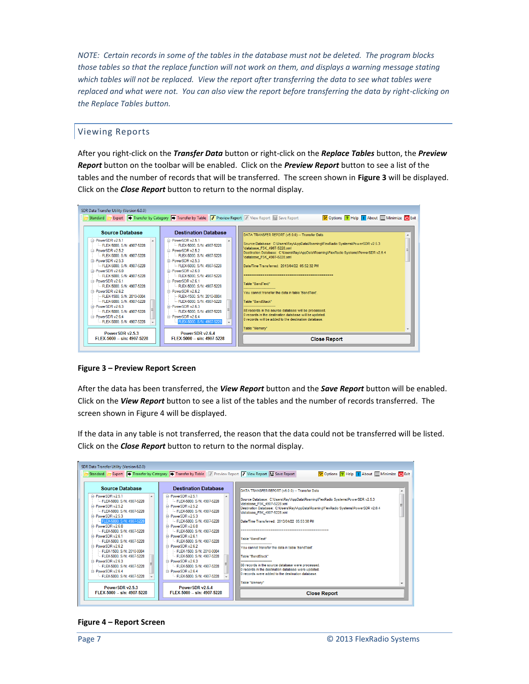*NOTE: Certain records in some of the tables in the database must not be deleted. The program blocks those tables so that the replace function will not work on them, and displays a warning message stating which tables will not be replaced. View the report after transferring the data to see what tables were replaced and what were not. You can also view the report before transferring the data by right-clicking on the Replace Tables button.*

# <span id="page-6-0"></span>Viewing Reports

After you right-click on the *Transfer Data* button or right-click on the *Replace Tables* button, the *Preview Report* button on the toolbar will be enabled. Click on the *Preview Report* button to see a list of the tables and the number of records that will be transferred. The screen shown in **Figure 3** will be displayed. Click on the *Close Report* button to return to the normal display.



### **Figure 3 – Preview Report Screen**

After the data has been transferred, the *View Report* button and the *Save Report* button will be enabled. Click on the *View Report* button to see a list of the tables and the number of records transferred. The screen shown in Figure 4 will be displayed.

If the data in any table is not transferred, the reason that the data could not be transferred will be listed. Click on the *Close Report* button to return to the normal display.



#### **Figure 4 – Report Screen**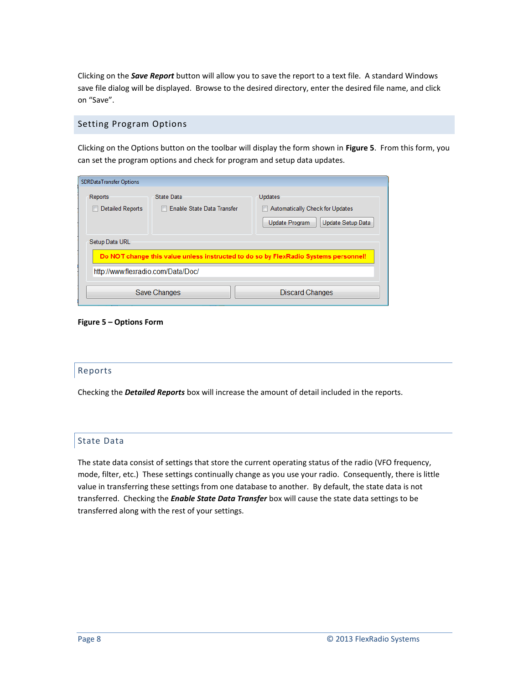Clicking on the *Save Report* button will allow you to save the report to a text file. A standard Windows save file dialog will be displayed. Browse to the desired directory, enter the desired file name, and click on "Save".

# <span id="page-7-0"></span>Setting Program Options

Clicking on the Options button on the toolbar will display the form shown in **Figure 5**. From this form, you can set the program options and check for program and setup data updates.

| <b>SDRDataTransfer Options</b>     |                                          |                                                                                          |
|------------------------------------|------------------------------------------|------------------------------------------------------------------------------------------|
| Reports<br><b>Detailed Reports</b> | State Data<br>Enable State Data Transfer | <b>Updates</b><br>Automatically Check for Updates<br>Update Program<br>Update Setup Data |
| Setup Data URL                     |                                          | Do NOT change this value unless instructed to do so by FlexRadio Systems personnel!      |
| http://www.flexradio.com/Data/Doc/ |                                          |                                                                                          |
|                                    | Save Changes                             | <b>Discard Changes</b>                                                                   |

### **Figure 5 – Options Form**

### <span id="page-7-1"></span>Reports

Checking the *Detailed Reports* box will increase the amount of detail included in the reports.

# <span id="page-7-2"></span>State Data

The state data consist of settings that store the current operating status of the radio (VFO frequency, mode, filter, etc.) These settings continually change as you use your radio. Consequently, there is little value in transferring these settings from one database to another. By default, the state data is not transferred. Checking the *Enable State Data Transfer* box will cause the state data settings to be transferred along with the rest of your settings.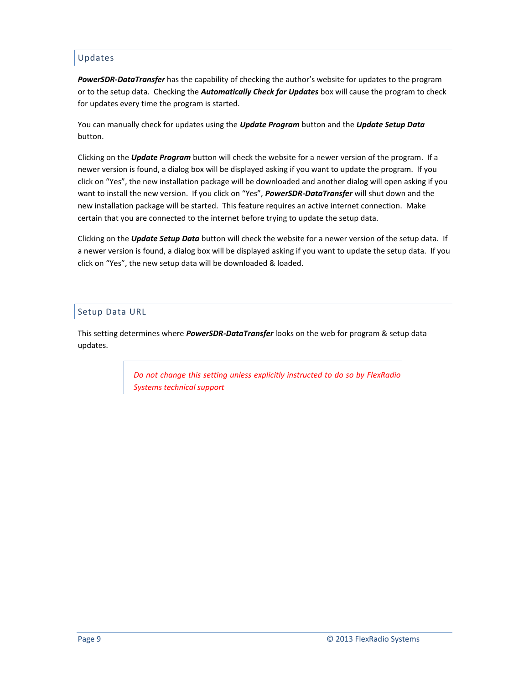# <span id="page-8-0"></span>Updates

*PowerSDR-DataTransfer* has the capability of checking the author's website for updates to the program or to the setup data. Checking the *Automatically Check for Updates* box will cause the program to check for updates every time the program is started.

You can manually check for updates using the *Update Program* button and the *Update Setup Data* button.

Clicking on the *Update Program* button will check the website for a newer version of the program. If a newer version is found, a dialog box will be displayed asking if you want to update the program. If you click on "Yes", the new installation package will be downloaded and another dialog will open asking if you want to install the new version. If you click on "Yes", *PowerSDR-DataTransfer* will shut down and the new installation package will be started. This feature requires an active internet connection. Make certain that you are connected to the internet before trying to update the setup data.

Clicking on the *Update Setup Data* button will check the website for a newer version of the setup data. If a newer version is found, a dialog box will be displayed asking if you want to update the setup data. If you click on "Yes", the new setup data will be downloaded & loaded.

# <span id="page-8-1"></span>Setup Data URL

This setting determines where *PowerSDR-DataTransfer* looks on the web for program & setup data updates.

> *Do not change this setting unless explicitly instructed to do so by FlexRadio Systems technical support*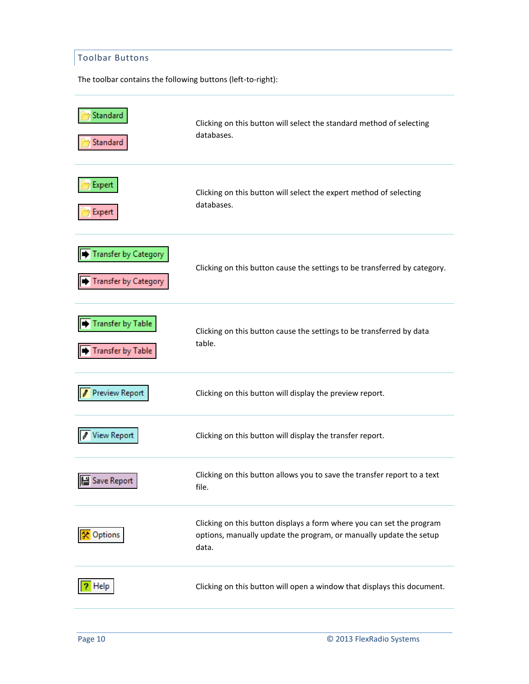# <span id="page-9-0"></span>Toolbar Buttons

The toolbar contains the following buttons (left-to-right):

| Standard<br>Standard                                       | Clicking on this button will select the standard method of selecting<br>databases.                                                                   |
|------------------------------------------------------------|------------------------------------------------------------------------------------------------------------------------------------------------------|
| Expert<br>Expert                                           | Clicking on this button will select the expert method of selecting<br>databases.                                                                     |
| <b>Transfer by Category</b><br><b>Transfer by Category</b> | Clicking on this button cause the settings to be transferred by category.                                                                            |
| Transfer by Table<br><b>Transfer by Table</b>              | Clicking on this button cause the settings to be transferred by data<br>table.                                                                       |
| <b>Preview Report</b>                                      | Clicking on this button will display the preview report.                                                                                             |
| <b>View Report</b>                                         | Clicking on this button will display the transfer report.                                                                                            |
| Save Report                                                | Clicking on this button allows you to save the transfer report to a text<br>file.                                                                    |
| Options                                                    | Clicking on this button displays a form where you can set the program<br>options, manually update the program, or manually update the setup<br>data. |
| Help                                                       | Clicking on this button will open a window that displays this document.                                                                              |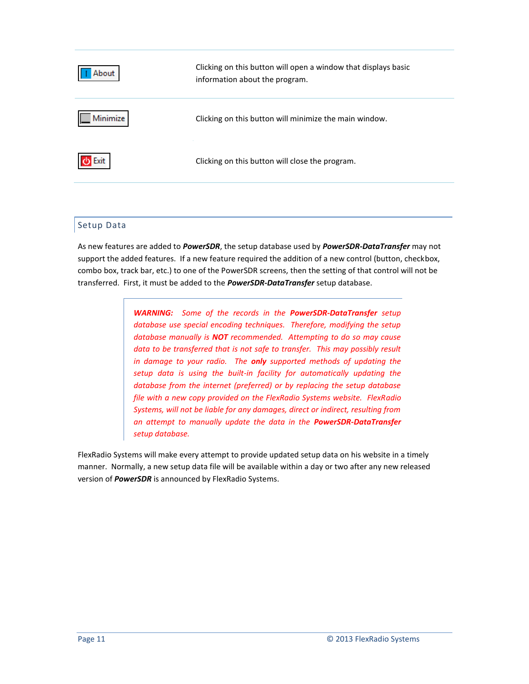| About    | Clicking on this button will open a window that displays basic<br>information about the program. |
|----------|--------------------------------------------------------------------------------------------------|
| Minimize | Clicking on this button will minimize the main window.                                           |
| Exit     | Clicking on this button will close the program.                                                  |

# <span id="page-10-0"></span>Setup Data

As new features are added to *PowerSDR*, the setup database used by *PowerSDR-DataTransfer* may not support the added features. If a new feature required the addition of a new control (button, checkbox, combo box, track bar, etc.) to one of the PowerSDR screens, then the setting of that control will not be transferred. First, it must be added to the *PowerSDR-DataTransfer* setup database.

> *WARNING: Some of the records in the PowerSDR-DataTransfer setup database use special encoding techniques. Therefore, modifying the setup database manually is NOT recommended. Attempting to do so may cause*  data to be transferred that is not safe to transfer. This may possibly result *in damage to your radio. The only supported methods of updating the setup data is using the built-in facility for automatically updating the database from the internet (preferred) or by replacing the setup database file with a new copy provided on the FlexRadio Systems website. FlexRadio Systems, will not be liable for any damages, direct or indirect, resulting from an attempt to manually update the data in the PowerSDR-DataTransfer setup database.*

FlexRadio Systems will make every attempt to provide updated setup data on his website in a timely manner. Normally, a new setup data file will be available within a day or two after any new released version of *PowerSDR* is announced by FlexRadio Systems.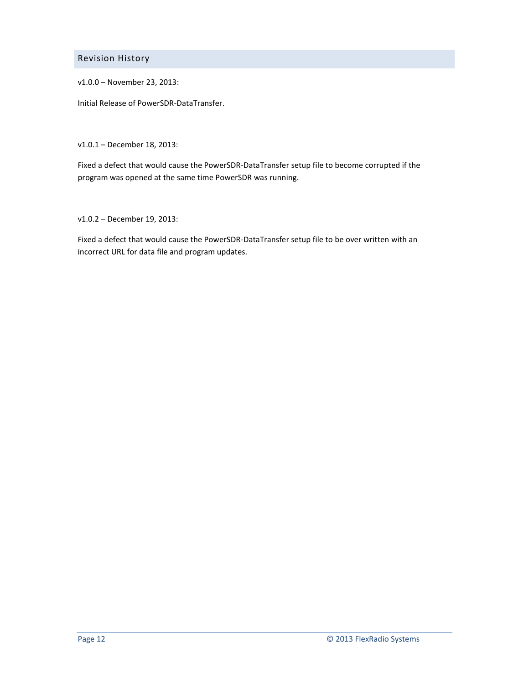<span id="page-11-0"></span>Revision History

v1.0.0 – November 23, 2013:

Initial Release of PowerSDR-DataTransfer.

v1.0.1 – December 18, 2013:

Fixed a defect that would cause the PowerSDR-DataTransfer setup file to become corrupted if the program was opened at the same time PowerSDR was running.

v1.0.2 – December 19, 2013:

Fixed a defect that would cause the PowerSDR-DataTransfer setup file to be over written with an incorrect URL for data file and program updates.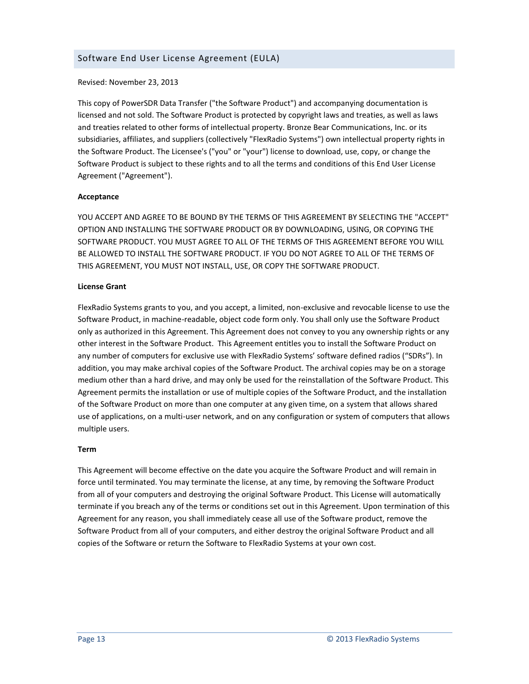<span id="page-12-0"></span>Revised: November 23, 2013

This copy of PowerSDR Data Transfer ("the Software Product") and accompanying documentation is licensed and not sold. The Software Product is protected by copyright laws and treaties, as well as laws and treaties related to other forms of intellectual property. Bronze Bear Communications, Inc. or its subsidiaries, affiliates, and suppliers (collectively "FlexRadio Systems") own intellectual property rights in the Software Product. The Licensee's ("you" or "your") license to download, use, copy, or change the Software Product is subject to these rights and to all the terms and conditions of this End User License Agreement ("Agreement").

### **Acceptance**

YOU ACCEPT AND AGREE TO BE BOUND BY THE TERMS OF THIS AGREEMENT BY SELECTING THE "ACCEPT" OPTION AND INSTALLING THE SOFTWARE PRODUCT OR BY DOWNLOADING, USING, OR COPYING THE SOFTWARE PRODUCT. YOU MUST AGREE TO ALL OF THE TERMS OF THIS AGREEMENT BEFORE YOU WILL BE ALLOWED TO INSTALL THE SOFTWARE PRODUCT. IF YOU DO NOT AGREE TO ALL OF THE TERMS OF THIS AGREEMENT, YOU MUST NOT INSTALL, USE, OR COPY THE SOFTWARE PRODUCT.

### **License Grant**

FlexRadio Systems grants to you, and you accept, a limited, non-exclusive and revocable license to use the Software Product, in machine-readable, object code form only. You shall only use the Software Product only as authorized in this Agreement. This Agreement does not convey to you any ownership rights or any other interest in the Software Product. This Agreement entitles you to install the Software Product on any number of computers for exclusive use with FlexRadio Systems' software defined radios ("SDRs"). In addition, you may make archival copies of the Software Product. The archival copies may be on a storage medium other than a hard drive, and may only be used for the reinstallation of the Software Product. This Agreement permits the installation or use of multiple copies of the Software Product, and the installation of the Software Product on more than one computer at any given time, on a system that allows shared use of applications, on a multi-user network, and on any configuration or system of computers that allows multiple users.

#### **Term**

This Agreement will become effective on the date you acquire the Software Product and will remain in force until terminated. You may terminate the license, at any time, by removing the Software Product from all of your computers and destroying the original Software Product. This License will automatically terminate if you breach any of the terms or conditions set out in this Agreement. Upon termination of this Agreement for any reason, you shall immediately cease all use of the Software product, remove the Software Product from all of your computers, and either destroy the original Software Product and all copies of the Software or return the Software to FlexRadio Systems at your own cost.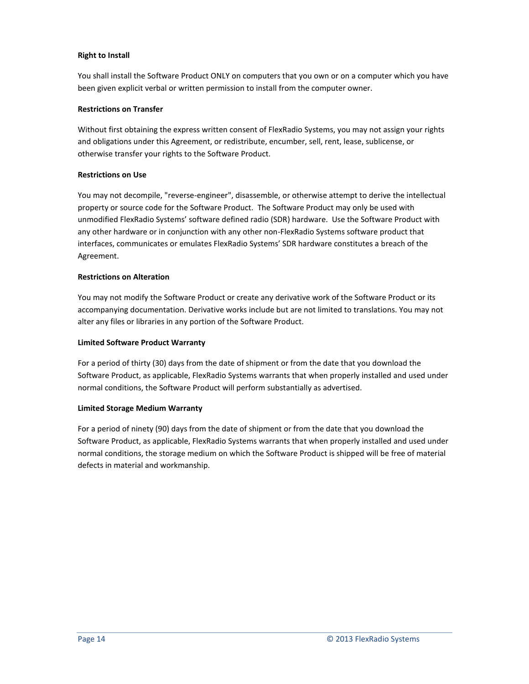### **Right to Install**

You shall install the Software Product ONLY on computers that you own or on a computer which you have been given explicit verbal or written permission to install from the computer owner.

# **Restrictions on Transfer**

Without first obtaining the express written consent of FlexRadio Systems, you may not assign your rights and obligations under this Agreement, or redistribute, encumber, sell, rent, lease, sublicense, or otherwise transfer your rights to the Software Product.

# **Restrictions on Use**

You may not decompile, "reverse-engineer", disassemble, or otherwise attempt to derive the intellectual property or source code for the Software Product. The Software Product may only be used with unmodified FlexRadio Systems' software defined radio (SDR) hardware. Use the Software Product with any other hardware or in conjunction with any other non-FlexRadio Systems software product that interfaces, communicates or emulates FlexRadio Systems' SDR hardware constitutes a breach of the Agreement.

# **Restrictions on Alteration**

You may not modify the Software Product or create any derivative work of the Software Product or its accompanying documentation. Derivative works include but are not limited to translations. You may not alter any files or libraries in any portion of the Software Product.

### **Limited Software Product Warranty**

For a period of thirty (30) days from the date of shipment or from the date that you download the Software Product, as applicable, FlexRadio Systems warrants that when properly installed and used under normal conditions, the Software Product will perform substantially as advertised.

### **Limited Storage Medium Warranty**

For a period of ninety (90) days from the date of shipment or from the date that you download the Software Product, as applicable, FlexRadio Systems warrants that when properly installed and used under normal conditions, the storage medium on which the Software Product is shipped will be free of material defects in material and workmanship.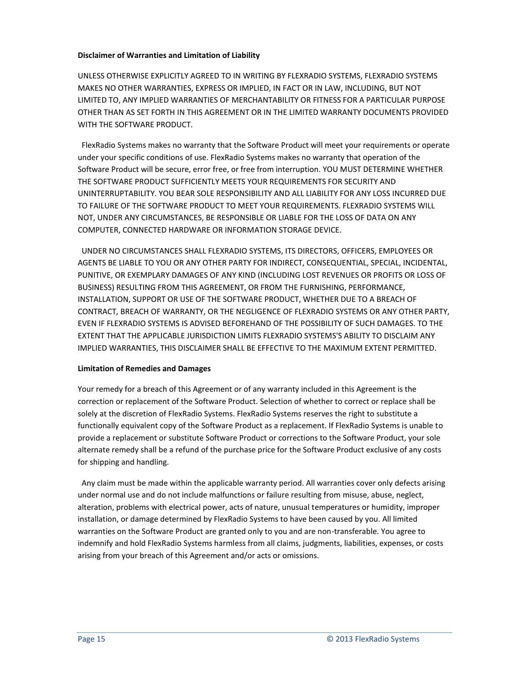### **Disclaimer of Warranties and Limitation of Liability**

UNLESS OTHERWISE EXPLICITLY AGREED TO IN WRITING BY FLEXRADIO SYSTEMS, FLEXRADIO SYSTEMS MAKES NO OTHER WARRANTIES, EXPRESS OR IMPLIED, IN FACT OR IN LAW, INCLUDING, BUT NOT LIMITED TO, ANY IMPLIED WARRANTIES OF MERCHANTABILITY OR FITNESS FOR A PARTICULAR PURPOSE OTHER THAN AS SET FORTH IN THIS AGREEMENT OR IN THE LIMITED WARRANTY DOCUMENTS PROVIDED WITH THE SOFTWARE PRODUCT.

FlexRadio Systems makes no warranty that the Software Product will meet your requirements or operate under your specific conditions of use. FlexRadio Systems makes no warranty that operation of the Software Product will be secure, error free, or free from interruption. YOU MUST DETERMINE WHETHER THE SOFTWARE PRODUCT SUFFICIENTLY MEETS YOUR REQUIREMENTS FOR SECURITY AND UNINTERRUPTABILITY. YOU BEAR SOLE RESPONSIBILITY AND ALL LIABILITY FOR ANY LOSS INCURRED DUE TO FAILURE OF THE SOFTWARE PRODUCT TO MEET YOUR REQUIREMENTS. FLEXRADIO SYSTEMS WILL NOT, UNDER ANY CIRCUMSTANCES, BE RESPONSIBLE OR LIABLE FOR THE LOSS OF DATA ON ANY COMPUTER, CONNECTED HARDWARE OR INFORMATION STORAGE DEVICE.

UNDER NO CIRCUMSTANCES SHALL FLEXRADIO SYSTEMS, ITS DIRECTORS, OFFICERS, EMPLOYEES OR AGENTS BE LIABLE TO YOU OR ANY OTHER PARTY FOR INDIRECT, CONSEQUENTIAL, SPECIAL, INCIDENTAL, PUNITIVE, OR EXEMPLARY DAMAGES OF ANY KIND (INCLUDING LOST REVENUES OR PROFITS OR LOSS OF BUSINESS) RESULTING FROM THIS AGREEMENT, OR FROM THE FURNISHING, PERFORMANCE, INSTALLATION, SUPPORT OR USE OF THE SOFTWARE PRODUCT, WHETHER DUE TO A BREACH OF CONTRACT, BREACH OF WARRANTY, OR THE NEGLIGENCE OF FLEXRADIO SYSTEMS OR ANY OTHER PARTY, EVEN IF FLEXRADIO SYSTEMS IS ADVISED BEFOREHAND OF THE POSSIBILITY OF SUCH DAMAGES. TO THE EXTENT THAT THE APPLICABLE JURISDICTION LIMITS FLEXRADIO SYSTEMS'S ABILITY TO DISCLAIM ANY IMPLIED WARRANTIES, THIS DISCLAIMER SHALL BE EFFECTIVE TO THE MAXIMUM EXTENT PERMITTED.

### **Limitation of Remedies and Damages**

Your remedy for a breach of this Agreement or of any warranty included in this Agreement is the correction or replacement of the Software Product. Selection of whether to correct or replace shall be solely at the discretion of FlexRadio Systems. FlexRadio Systems reserves the right to substitute a functionally equivalent copy of the Software Product as a replacement. If FlexRadio Systems is unable to provide a replacement or substitute Software Product or corrections to the Software Product, your sole alternate remedy shall be a refund of the purchase price for the Software Product exclusive of any costs for shipping and handling.

Any claim must be made within the applicable warranty period. All warranties cover only defects arising under normal use and do not include malfunctions or failure resulting from misuse, abuse, neglect, alteration, problems with electrical power, acts of nature, unusual temperatures or humidity, improper installation, or damage determined by FlexRadio Systems to have been caused by you. All limited warranties on the Software Product are granted only to you and are non-transferable. You agree to indemnify and hold FlexRadio Systems harmless from all claims, judgments, liabilities, expenses, or costs arising from your breach of this Agreement and/or acts or omissions.